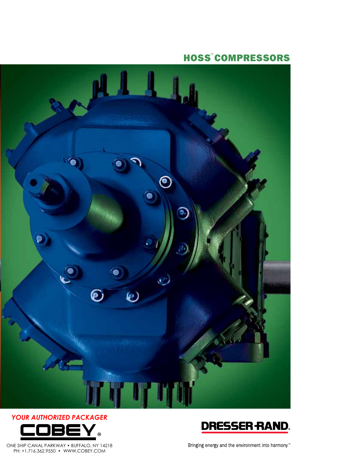**HOSS<sup>™</sup>COMPRESSORS** 





ONE SHIP CANAL PARKWAY • BUFFALO, NY 14218 PH: +1.716.362.9550 • WWW.COBEY.COM



Bringing energy and the environment into harmony. $\mathbb {P}$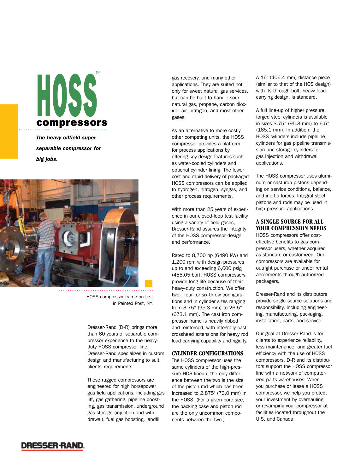# HOSS compressors TM

*The heavy oilfield super separable compressor for big jobs.*



HOSS compressor frame on test in Painted Post, NY.

Dresser-Rand (D-R) brings more than 60 years of separable compressor experience to the heavyduty HOSS compressor line. Dresser-Rand specializes in custom design and manufacturing to suit clients' requirements.

These rugged compressors are engineered for high horsepower gas field applications, including gas lift, gas gathering, pipeline boosting, gas transmission, underground gas storage (injection and withdrawal), fuel gas boosting, landfill

gas recovery, and many other applications. They are suited not only for sweet natural gas services, but can be built to handle sour natural gas, propane, carbon dioxide, air, nitrogen, and most other gases.

As an alternative to more costly other competing units, the HOSS compressor provides a platform for process applications by offering key design features such as water-cooled cylinders and optional cylinder lining. The lower cost and rapid delivery of packaged HOSS compressors can be applied to hydrogen, nitrogen, syngas, and other process requirements.

With more than 25 years of experience in our closed-loop test facility using a variety of field gases, Dresser-Rand assures the integrity of the HOSS compressor design and performance.

Rated to 8,700 hp (6490 kW) and 1,200 rpm with design pressures up to and exceeding 6,600 psig (455.05 bar), HOSS compressors provide long life because of their heavy-duty construction. We offer two-, four- or six-throw configurations and in cylinder sizes ranging from 3.75" (95.3 mm) to 26.5" (673.1 mm). The cast iron compressor frame is heavily ribbed and reinforced, with integrally cast crosshead extensions for heavy rod load carrying capability and rigidity.

## **CYLINDER CONFIGURATIONS**

The HOSS compressor uses the same cylinders of the high-pressure HOS lineup; the only difference between the two is the size of the piston rod which has been increased to 2.875" (73.0 mm) in the HOSS. (For a given bore size, the packing case and piston rod are the only uncommon components between the two.)

A 16" (406.4 mm) distance piece (similar to that of the HOS design) with its through-bolt, heavy loadcarrying design, is standard.

A full line-up of higher pressure, forged steel cylinders is available in sizes 3.75" (95.3 mm) to 6.5" (165.1 mm). In addition, the HOSS cylinders include pipeline cylinders for gas pipeline transmission and storage cylinders for gas injection and withdrawal applications.

The HOSS compressor uses aluminum or cast iron pistons depending on service conditions, balance, and inertia forces. Integral steel pistons and rods may be used in high-pressure applications.

# **A SINGLE SOURCE FOR ALL YOUR COMPRESSION NEEDS**

HOSS compressors offer costeffective benefits to gas compressor users, whether acquired as standard or customized. Our compressors are available for outright purchase or under rental agreements through authorized packagers.

Dresser-Rand and its distributors provide single-source solutions and responsibility, including engineering, manufacturing, packaging, installation, parts, and service.

Our goal at Dresser-Rand is for clients to experience reliability, less maintenance, and greater fuel efficiency with the use of HOSS compressors. D-R and its distributors support the HOSS compressor line with a network of computerized parts warehouses. When you purchase or lease a HOSS compressor, we help you protect your investment by overhauling or revamping your compressor at facilities located throughout the U.S. and Canada.

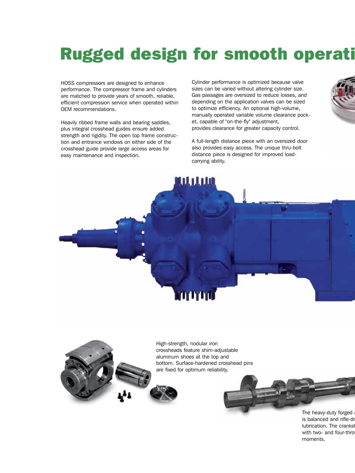# Rugged design for smooth operati

HOSS compressors are designed to enhance performance. The compressor frame and cylinders are matched to provide years of smooth, reliable, efficient compression service when operated within OEM recommendations.

Heavily ribbed frame walls and bearing saddles, plus integral crosshead guides ensure added strength and rigidity. The open top frame construction and entrance windows on either side of the crosshead guide provide large access areas for easy maintenance and inspection.

Cylinder performance is optimized because valve sizes can be varied without altering cylinder size. Gas passages are oversized to reduce losses, and depending on the application valves can be sized to optimize efficiency. An optional high-volume, manually operated variable volume clearance pocket, capable of "on-the-fly" adjustment, provides clearance for greater capacity control.

A full-length distance piece with an oversized door also provides easy access. The unique thru-bolt distance piece is designed for improved loadcarrying ability.





High-strength, nodular iron crossheads feature shim-adjustable aluminum shoes at the top and bottom. Surface-hardened crosshead pins are fixed for optimum reliability.



The heavy-duty forged is balanced and rifle-dr lubrication. The cranks with two- and four-thro moments.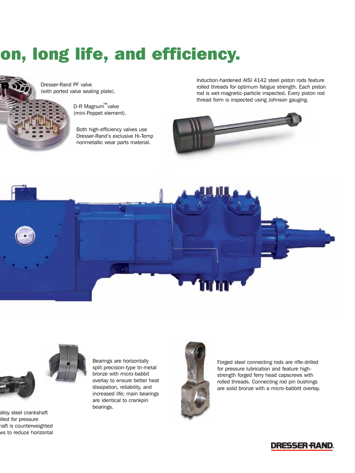# on, long life, and efficiency.



Dresser-Rand PF valve (with ported valve sealing plate).

> D-R Magnum™valve (mini-Poppet element).

Both high-efficiency valves use Dresser-Rand's exclusive Hi-Temp nonmetallic wear parts material.

Induction-hardened AISI 4142 steel piston rods feature rolled threads for optimum fatigue strength. Each piston rod is wet-magnetic-particle inspected. Every piston rod thread form is inspected using Johnson gauging.







alloy steel crankshaft illed for pressure haft is counterweighted ws to reduce horizontal Bearings are horizontally split precision-type tri-metal bronze with micro-babbit overlay to ensure better heat dissipation, reliability, and increased life; main bearings are identical to crankpin bearings.



Forged steel connecting rods are rifle-drilled for pressure lubrication and feature highstrength forged ferry head capscrews with rolled threads. Connecting rod pin bushings are solid bronze with a micro-babbitt overlay.

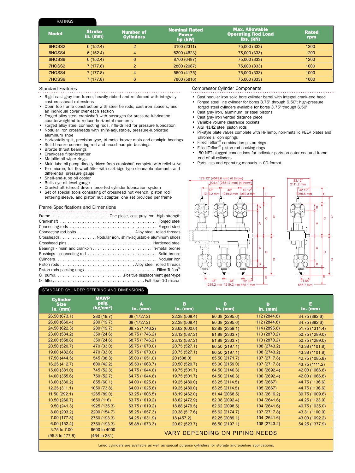#### Ratings

| <b>Model</b> | <b>Stroke</b><br>in. $(mm)$ | <b>Number of</b><br><b>Cylinders</b> | <b>Nominal Rated</b><br><b>Power</b><br>$hp$ (kW) | <b>Max. Allowable</b><br><b>Operating Rod Load</b><br>Ibs. (kN) | <b>Rated</b><br>rpm |
|--------------|-----------------------------|--------------------------------------|---------------------------------------------------|-----------------------------------------------------------------|---------------------|
| 6HOSS2       | 6(152.4)                    | $\overline{2}$                       | 3100 (2311)                                       | 75,000 (333)                                                    | 1200                |
| 6HOSS4       | 6(152.4)                    | 4                                    | 6200 (4623)                                       | 75,000 (333)                                                    | 1200                |
| 6HOSS6       | 6(152.4)                    | 6                                    | 8700 (6487)                                       | 75,000 (333)                                                    | 1200                |
| 7HOSS2       | 7(177.8)                    | 2                                    | 2800 (2087)                                       | 75,000 (333)                                                    | 1000                |
| 7HOSS4       | 7(177.8)                    | 4                                    | 5600 (4175)                                       | 75,000 (333)                                                    | 1000                |
| 7HOSS6       | 7(177.8)                    | 6                                    | 7800 (5816)                                       | 75,000 (333)                                                    | 1000                |

#### Standard Features

- • Rigid cast gray iron frame, heavily ribbed and reinforced with integrally cast crosshead extensions
- Open top frame construction with steel tie rods, cast iron spacers, and an individual cover over each section
- Forged alloy steel crankshaft with passages for pressure lubrication, counterweighted to reduce horizontal moments
- Forged alloy steel connecting rods, rifle-drilled for pressure lubrication • Nodular iron crossheads with shim-adjustable, pressure-lubricated aluminum shoe
- Horizontally split, precision-type, tri-metal bronze main and crankpin bearings
- Solid bronze connecting rod and crosshead pin bushings<br>• Bronze thrust bearings
- Bronze thrust bearings
- Crankcase filter-breather
- Metallic oil wiper rings
- Main lube oil pump directly driven from crankshaft complete with relief valve • Ten-micron, full-flow oil filter with cartridge-type cleanable elements and
- differential pressure gauge
- Shell-and-tube oil cooler
- Bulls-eye oil level gauge
- Crankshaft (direct) driven force-fed cylinder lubrication system<br>• Set of special tools consisting of crosshead nut wrench, piston
- Set of special tools consisting of crosshead nut wrench, piston rod entering sleeve, and piston nut adapter; one set provided per frame

#### Frame Specifications and Dimensions

| CrossheadsNodular iron, shim-adjustable aluminum shoes |
|--------------------------------------------------------|
|                                                        |
|                                                        |
|                                                        |
|                                                        |
|                                                        |
|                                                        |
|                                                        |
|                                                        |

#### Standard Cylinder offering and dimensions

Compressor Cylinder Components

- Cast nodular iron solid bore cylinder barrel with integral crank-end head • Forged steel line cylinder for bores 3.75" through 6.50"; high-pressure
- forged steel cylinders available for bores 3.75" through 6.50" Cast gray iron, aluminum, or steel pistons
- Cast gray iron vented distance piece
- Variable volume clearance pockets
- AISI 4142 steel piston rods
- PF-style plate valves complete with Hi-Temp, non-metallic PEEK plates and chrome silicon springs
- Filled Teflon® combination piston rings
- Filled Teflon® piston rod packing rings
- .50 NPT plugged connections for indicator ports on outer end and frame end of all cylinders
- Parts lists and operating manuals in CD format





| <b>Cylinder</b><br><b>Size</b><br>in. $(mm)$ | <b>MAWP</b><br>psig<br>(kg/cm <sup>2</sup> ) | A<br>in. $(mm)$                | в<br>in. $(mm)$ | c.<br>in. $(mm)$ | D<br>in. $(mm)$ | E.<br>in. $(mm)$ |  |
|----------------------------------------------|----------------------------------------------|--------------------------------|-----------------|------------------|-----------------|------------------|--|
| 26.50 (673.1)                                | 280 (19.7)                                   | 68 (1727.2)                    | 22.38 (568.4)   | 90.38 (2295.6)   | 112 (2844.8)    | 34.75 (882.6)    |  |
| 26.00 (660.4)                                | 280 (19.7)                                   | 68 (1727.2)                    | 22.38 (568.4)   | 90.38 (2295.6)   | 112 (2844.8)    | 34.75 (882.6)    |  |
| 24.50 (622.3)                                | 280 (19.7)                                   | 68.75 (1746.2)                 | 23.62 (600.0)   | 92.88 (2359.1)   | 114 (2895.6)    | 51.75 (1314.4)   |  |
| 23.00 (584.2)                                | 350 (24.6)                                   | 68.75 (1746.2)                 | 23.12 (587.2)   | 91.88 (2333.7)   | 113 (2870.2)    | 50.75 (1289.0)   |  |
| 22.00 (558.8)                                | 350 (24.6)                                   | 68.75 (1746.2)                 | 23.12 (587.2)   | 91.88 (2333.7)   | 113 (2870.2)    | 50.75 (1289.0)   |  |
| 20.50 (520.7)                                | 470 (33.0)                                   | 65.75 (1670.0)                 | 20.75 (527.1)   | 86.50 (2197.1)   | 108 (2743.2)    | 43.38 (1101.8)   |  |
| 19.00 (482.6)                                | 470 (33.0)                                   | 65.75 (1670.0)                 | 20.75 (527.1)   | 86.50 (2197.1)   | 108 (2743.2)    | 43.38 (1101.8)   |  |
| 17.50 (444.5)                                | 545 (38.3)                                   | 65.00 (1651.0)                 | 20(508.0)       | 85.50 (2171.7)   | 107 (2717.8)    | 42.75 (1085.8)   |  |
| 16.25 (412.7)                                | 600 (42.2)                                   | 65.50 (1663.7)                 | 20.50 (520.7)   | 85.00 (2159.0)   | 107 (2717.8)    | 43.75 (1111.2)   |  |
| 15.00 (381.0)                                | 745 (52.3)                                   | 64.75 (1644.6)                 | 19.75 (501.7)   | 84.50 (2146.3)   | 106 (2692.4)    | 42.00 (1066.8)   |  |
| 14.00 (355.6)                                | 750 (52.7)                                   | 64.75 (1644.6)                 | 19.75 (501.7)   | 84.50 (2146.3)   | 106 (2692.4)    | 42.00 (1066.8)   |  |
| 13.00 (330.2)                                | 855 (60.1)                                   | 64.00 (1625.6)                 | 19.25 (489.0)   | 83.25 (2114.5)   | 105 (2667)      | 44.75 (1136.6)   |  |
| 12.25(311.1)                                 | 1050 (73.8)                                  | 64.00 (1625.6)                 | 19.25 (489.0)   | 83.25 (2114.5)   | 105 (2667)      | 44.75 (1136.6)   |  |
| 11.50(292.1)                                 | 1265 (89.0)                                  | 63.25 (1606.5)                 | 18.19 (462.0)   | 81.44 (2068.5)   | 103 (2616.2)    | 39.75 (1009.6)   |  |
| 10.50 (266.7)                                | 1650 (116)                                   | 63.75 (1619.2)                 | 18.62 (472.9)   | 82.38 (2092.4)   | 104 (2641.6)    | 44.25 (1123.9)   |  |
| 9.50(241.3)                                  | 1925 (135.3)                                 | 63.75 (1619.2)                 | 18.88 (479.5)   | 82.62 (2098.5)   | 104 (2641.6)    | 40.75 (1035.0)   |  |
| 8.00(203.2)                                  | 2200 (154.7)                                 | 65.25 (1657.3)                 | 20.38 (517.6)   | 85.62 (2174.7)   | 107 (2717.8)    | 43.31 (1100.0)   |  |
| 7.00(177.8)                                  | 2750 (193.3)                                 | 64.25 (1631.9)                 | 18 (457.2)      | 82.25 (2089.1)   | 104 (2641.6)    | 43.00 (1092.2)   |  |
| 6.00(152.4)                                  | 2750 (193.3)                                 | 65.88 (1673.3)                 | 20.62 (523.7)   | 86.50 (2197.1)   | 108 (2743.2)    | 54.25 (1377.9)   |  |
| 3.75 to 7.00                                 | 6600 to 4000                                 | VARY DEPENDING ON PIPING NEEDS |                 |                  |                 |                  |  |
| $(95.3 \text{ to } 177.8)$                   | (464 to 281)                                 |                                |                 |                  |                 |                  |  |
|                                              |                                              |                                |                 |                  |                 |                  |  |

Lined cylinders are available as well as special purpose cylinders for storage and pipeline applications.